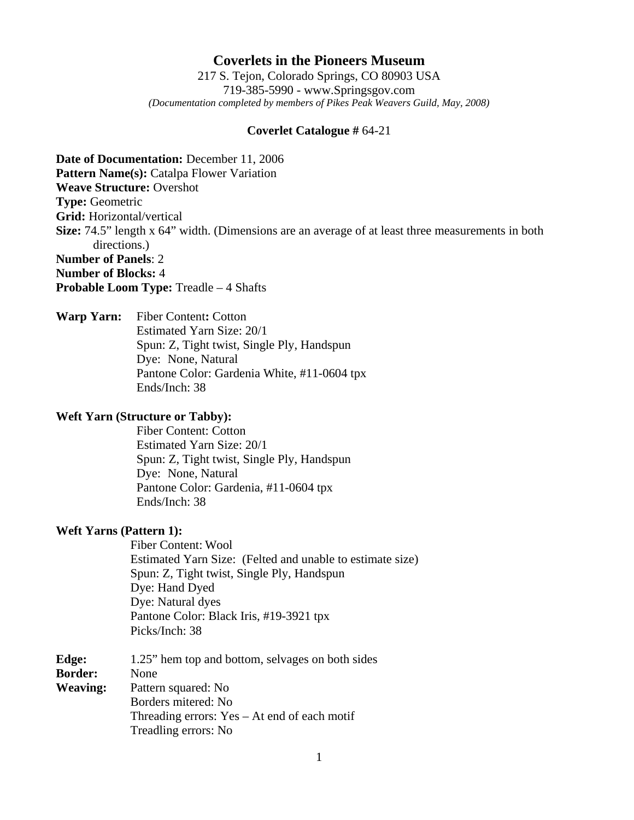# **Coverlets in the Pioneers Museum**

217 S. Tejon, Colorado Springs, CO 80903 USA 719-385-5990 - www.Springsgov.com *(Documentation completed by members of Pikes Peak Weavers Guild, May, 2008)* 

#### **Coverlet Catalogue #** 64-21

**Date of Documentation:** December 11, 2006 **Pattern Name(s):** Catalpa Flower Variation **Weave Structure:** Overshot **Type:** Geometric **Grid:** Horizontal/vertical **Size:** 74.5" length x 64" width. (Dimensions are an average of at least three measurements in both directions.) **Number of Panels**: 2 **Number of Blocks:** 4

**Probable Loom Type:** Treadle – 4 Shafts

**Warp Yarn:** Fiber Content**:** Cotton Estimated Yarn Size: 20/1 Spun: Z, Tight twist, Single Ply, Handspun Dye: None, Natural Pantone Color: Gardenia White, #11-0604 tpx Ends/Inch: 38

### **Weft Yarn (Structure or Tabby):**

 Fiber Content: Cotton Estimated Yarn Size: 20/1 Spun: Z, Tight twist, Single Ply, Handspun Dye: None, Natural Pantone Color: Gardenia, #11-0604 tpx Ends/Inch: 38

#### **Weft Yarns (Pattern 1):**

 Fiber Content: Wool Estimated Yarn Size: (Felted and unable to estimate size) Spun: Z, Tight twist, Single Ply, Handspun Dye: Hand Dyed Dye: Natural dyes Pantone Color: Black Iris, #19-3921 tpx Picks/Inch: 38

| Edge:           | 1.25" hem top and bottom, selvages on both sides |
|-----------------|--------------------------------------------------|
| <b>Border:</b>  | None                                             |
| <b>Weaving:</b> | Pattern squared: No                              |
|                 | Borders mitered: No                              |
|                 | Threading errors: $Yes - At$ end of each motif   |
|                 | Treadling errors: No                             |